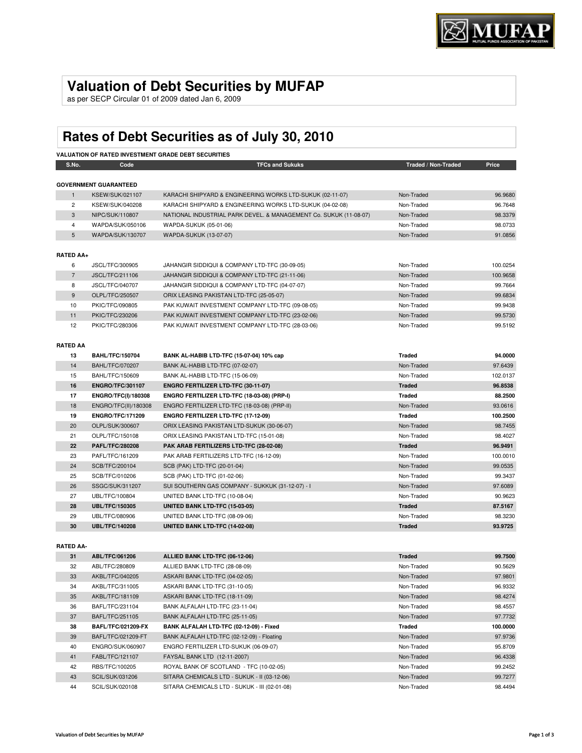## **Valuation of Debt Securities by MUFAP**

as per SECP Circular 01 of 2009 dated Jan 6, 2009

# **Rates of Debt Securities as of July 30, 2010**

| <b>VALUATION OF RATED INVESTMENT GRADE DEBT SECURITIES</b> |                              |                                                                   |                     |          |  |
|------------------------------------------------------------|------------------------------|-------------------------------------------------------------------|---------------------|----------|--|
| S.No.                                                      | Code                         | <b>TFCs and Sukuks</b>                                            | Traded / Non-Traded | Price    |  |
|                                                            |                              |                                                                   |                     |          |  |
|                                                            | <b>GOVERNMENT GUARANTEED</b> |                                                                   |                     |          |  |
| $\mathbf{1}$                                               | <b>KSEW/SUK/021107</b>       | KARACHI SHIPYARD & ENGINEERING WORKS LTD-SUKUK (02-11-07)         | Non-Traded          | 96.9680  |  |
| $\overline{2}$                                             | <b>KSEW/SUK/040208</b>       | KARACHI SHIPYARD & ENGINEERING WORKS LTD-SUKUK (04-02-08)         | Non-Traded          | 96.7648  |  |
| 3                                                          | NIPC/SUK/110807              | NATIONAL INDUSTRIAL PARK DEVEL. & MANAGEMENT Co. SUKUK (11-08-07) | Non-Traded          | 98.3379  |  |
| 4                                                          | WAPDA/SUK/050106             | WAPDA-SUKUK (05-01-06)                                            | Non-Traded          | 98.0733  |  |
| 5                                                          | WAPDA/SUK/130707             | WAPDA-SUKUK (13-07-07)                                            | Non-Traded          | 91.0856  |  |
| <b>RATED AA+</b>                                           |                              |                                                                   |                     |          |  |
| 6                                                          | JSCL/TFC/300905              | JAHANGIR SIDDIQUI & COMPANY LTD-TFC (30-09-05)                    | Non-Traded          | 100.0254 |  |
| $\overline{7}$                                             | JSCL/TFC/211106              | JAHANGIR SIDDIQUI & COMPANY LTD-TFC (21-11-06)                    | Non-Traded          | 100.9658 |  |
| 8                                                          | JSCL/TFC/040707              | JAHANGIR SIDDIQUI & COMPANY LTD-TFC (04-07-07)                    | Non-Traded          | 99.7664  |  |
| 9                                                          | OLPL/TFC/250507              | ORIX LEASING PAKISTAN LTD-TFC (25-05-07)                          | Non-Traded          | 99.6834  |  |
| 10                                                         | PKIC/TFC/090805              | PAK KUWAIT INVESTMENT COMPANY LTD-TFC (09-08-05)                  | Non-Traded          | 99.9438  |  |
| 11                                                         | PKIC/TFC/230206              | PAK KUWAIT INVESTMENT COMPANY LTD-TFC (23-02-06)                  | Non-Traded          | 99.5730  |  |
| 12                                                         | PKIC/TFC/280306              | PAK KUWAIT INVESTMENT COMPANY LTD-TFC (28-03-06)                  | Non-Traded          | 99.5192  |  |
|                                                            |                              |                                                                   |                     |          |  |
| <b>RATED AA</b>                                            |                              |                                                                   |                     |          |  |
| 13                                                         | <b>BAHL/TFC/150704</b>       | BANK AL-HABIB LTD-TFC (15-07-04) 10% cap                          | <b>Traded</b>       | 94.0000  |  |
| 14                                                         | <b>BAHL/TFC/070207</b>       | BANK AL-HABIB LTD-TFC (07-02-07)                                  | Non-Traded          | 97.6439  |  |
| 15                                                         | BAHL/TFC/150609              | BANK AL-HABIB LTD-TFC (15-06-09)                                  | Non-Traded          | 102.0137 |  |
| 16                                                         | <b>ENGRO/TFC/301107</b>      | ENGRO FERTILIZER LTD-TFC (30-11-07)                               | <b>Traded</b>       | 96.8538  |  |
| 17                                                         | ENGRO/TFC(I)/180308          | ENGRO FERTILIZER LTD-TFC (18-03-08) (PRP-I)                       | <b>Traded</b>       | 88.2500  |  |
| 18                                                         | ENGRO/TFC(II)/180308         | ENGRO FERTILIZER LTD-TFC (18-03-08) (PRP-II)                      | Non-Traded          | 93.0616  |  |
| 19                                                         | <b>ENGRO/TFC/171209</b>      | ENGRO FERTILIZER LTD-TFC (17-12-09)                               | <b>Traded</b>       | 100.2500 |  |
| 20                                                         | OLPL/SUK/300607              | ORIX LEASING PAKISTAN LTD-SUKUK (30-06-07)                        | Non-Traded          | 98.7455  |  |
| 21                                                         | OLPL/TFC/150108              | ORIX LEASING PAKISTAN LTD-TFC (15-01-08)                          | Non-Traded          | 98.4027  |  |
| 22                                                         | <b>PAFL/TFC/280208</b>       | PAK ARAB FERTILIZERS LTD-TFC (28-02-08)                           | <b>Traded</b>       | 96.9491  |  |
| 23                                                         | PAFL/TFC/161209              | PAK ARAB FERTILIZERS LTD-TFC (16-12-09)                           | Non-Traded          | 100.0010 |  |
| 24                                                         | SCB/TFC/200104               | SCB (PAK) LTD-TFC (20-01-04)                                      | Non-Traded          | 99.0535  |  |
| 25                                                         | SCB/TFC/010206               | SCB (PAK) LTD-TFC (01-02-06)                                      | Non-Traded          | 99.3437  |  |
| 26                                                         | SSGC/SUK/311207              | SUI SOUTHERN GAS COMPANY - SUKKUK (31-12-07) - I                  | Non-Traded          | 97.6089  |  |
| 27                                                         | UBL/TFC/100804               | UNITED BANK LTD-TFC (10-08-04)                                    | Non-Traded          | 90.9623  |  |
| 28                                                         | <b>UBL/TFC/150305</b>        | UNITED BANK LTD-TFC (15-03-05)                                    | <b>Traded</b>       | 87.5167  |  |
| 29                                                         | UBL/TFC/080906               | UNITED BANK LTD-TFC (08-09-06)                                    | Non-Traded          | 98.3230  |  |
| 30                                                         | <b>UBL/TFC/140208</b>        | UNITED BANK LTD-TFC (14-02-08)                                    | <b>Traded</b>       | 93.9725  |  |
|                                                            |                              |                                                                   |                     |          |  |
| <b>RATED AA-</b>                                           |                              |                                                                   |                     |          |  |
| 31                                                         | ABL/TFC/061206               | ALLIED BANK LTD-TFC (06-12-06)                                    | <b>Traded</b>       | 99.7500  |  |
| 32                                                         | ABL/TFC/280809               | ALLIED BANK LTD-TFC (28-08-09)                                    | Non-Traded          | 90.5629  |  |
| 33                                                         | AKBL/TFC/040205              | ASKARI BANK LTD-TFC (04-02-05)                                    | Non-Traded          | 97.9801  |  |

| ১। | ADLIFU/U01200             | ALLIED BANK LID-IFC (00-12-00)                | <b>Traged</b> | <b>99.7300</b> |
|----|---------------------------|-----------------------------------------------|---------------|----------------|
| 32 | ABL/TFC/280809            | ALLIED BANK LTD-TFC (28-08-09)                | Non-Traded    | 90.5629        |
| 33 | AKBL/TFC/040205           | ASKARI BANK LTD-TFC (04-02-05)                | Non-Traded    | 97.9801        |
| 34 | AKBL/TFC/311005           | ASKARI BANK LTD-TFC (31-10-05)                | Non-Traded    | 96.9332        |
| 35 | AKBL/TFC/181109           | ASKARI BANK LTD-TFC (18-11-09)                | Non-Traded    | 98.4274        |
| 36 | BAFL/TFC/231104           | BANK ALFALAH LTD-TFC (23-11-04)               | Non-Traded    | 98.4557        |
| 37 | <b>BAFL/TFC/251105</b>    | BANK ALFALAH LTD-TFC (25-11-05)               | Non-Traded    | 97.7732        |
| 38 | <b>BAFL/TFC/021209-FX</b> | BANK ALFALAH LTD-TFC (02-12-09) - Fixed       | Traded        | 100.0000       |
| 39 | BAFL/TFC/021209-FT        | BANK ALFALAH LTD-TFC (02-12-09) - Floating    | Non-Traded    | 97.9736        |
| 40 | ENGRO/SUK/060907          | ENGRO FERTILIZER LTD-SUKUK (06-09-07)         | Non-Traded    | 95.8709        |
| 41 | FABL/TFC/121107           | FAYSAL BANK LTD (12-11-2007)                  | Non-Traded    | 96.4338        |
| 42 | RBS/TFC/100205            | ROYAL BANK OF SCOTLAND - TFC (10-02-05)       | Non-Traded    | 99.2452        |
| 43 | SCIL/SUK/031206           | SITARA CHEMICALS LTD - SUKUK - II (03-12-06)  | Non-Traded    | 99.7277        |
| 44 | SCIL/SUK/020108           | SITARA CHEMICALS LTD - SUKUK - III (02-01-08) | Non-Traded    | 98.4494        |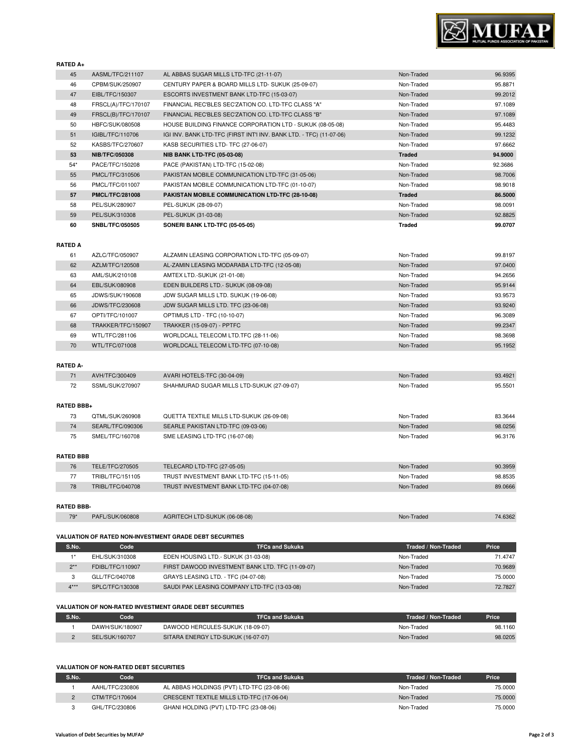

**RATED A+**

| .              |                        |                                                                     |               |         |
|----------------|------------------------|---------------------------------------------------------------------|---------------|---------|
| 45             | AASML/TFC/211107       | AL ABBAS SUGAR MILLS LTD-TFC (21-11-07)                             | Non-Traded    | 96.9395 |
| 46             | CPBM/SUK/250907        | CENTURY PAPER & BOARD MILLS LTD- SUKUK (25-09-07)                   | Non-Traded    | 95.8871 |
| 47             | EIBL/TFC/150307        | ESCORTS INVESTMENT BANK LTD-TFC (15-03-07)                          | Non-Traded    | 99.2012 |
| 48             | FRSCL(A)/TFC/170107    | FINANCIAL REC'BLES SEC'ZATION CO. LTD-TFC CLASS "A"                 | Non-Traded    | 97.1089 |
| 49             | FRSCL(B)/TFC/170107    | FINANCIAL REC'BLES SEC'ZATION CO. LTD-TFC CLASS "B"                 | Non-Traded    | 97.1089 |
| 50             | HBFC/SUK/080508        | HOUSE BUILDING FINANCE CORPORATION LTD - SUKUK (08-05-08)           | Non-Traded    | 95.4483 |
| 51             | IGIBL/TFC/110706       | IGI INV. BANK LTD-TFC (FIRST INT'I INV. BANK LTD. - TFC) (11-07-06) | Non-Traded    | 99.1232 |
| 52             | KASBS/TFC/270607       | KASB SECURITIES LTD- TFC (27-06-07)                                 | Non-Traded    | 97.6662 |
| 53             | <b>NIB/TFC/050308</b>  | <b>NIB BANK LTD-TFC (05-03-08)</b>                                  | <b>Traded</b> | 94.9000 |
| $54*$          | PACE/TFC/150208        | PACE (PAKISTAN) LTD-TFC (15-02-08)                                  | Non-Traded    | 92.3686 |
| 55             | PMCL/TFC/310506        | PAKISTAN MOBILE COMMUNICATION LTD-TFC (31-05-06)                    | Non-Traded    | 98.7006 |
| 56             | PMCL/TFC/011007        | PAKISTAN MOBILE COMMUNICATION LTD-TFC (01-10-07)                    | Non-Traded    | 98.9018 |
| 57             | <b>PMCL/TFC/281008</b> | PAKISTAN MOBILE COMMUNICATION LTD-TFC (28-10-08)                    | <b>Traded</b> | 86.5000 |
| 58             | PEL/SUK/280907         | PEL-SUKUK (28-09-07)                                                | Non-Traded    | 98.0091 |
| 59             | PEL/SUK/310308         | PEL-SUKUK (31-03-08)                                                | Non-Traded    | 92.8825 |
| 60             | <b>SNBL/TFC/050505</b> | SONERI BANK LTD-TFC (05-05-05)                                      | <b>Traded</b> | 99.0707 |
|                |                        |                                                                     |               |         |
| <b>RATED A</b> |                        |                                                                     |               |         |
|                |                        |                                                                     |               |         |

| 61 | AZLC/TFC/050907        | ALZAMIN LEASING CORPORATION LTD-TFC (05-09-07) | Non-Traded | 99.8197 |
|----|------------------------|------------------------------------------------|------------|---------|
| 62 | AZLM/TFC/120508        | AL-ZAMIN LEASING MODARABA LTD-TFC (12-05-08)   | Non-Traded | 97.0400 |
| 63 | AML/SUK/210108         | AMTEX LTD.-SUKUK (21-01-08)                    | Non-Traded | 94.2656 |
| 64 | EBL/SUK/080908         | EDEN BUILDERS LTD.- SUKUK (08-09-08)           | Non-Traded | 95.9144 |
| 65 | JDWS/SUK/190608        | JDW SUGAR MILLS LTD. SUKUK (19-06-08)          | Non-Traded | 93.9573 |
| 66 | <b>JDWS/TFC/230608</b> | JDW SUGAR MILLS LTD. TFC (23-06-08)            | Non-Traded | 93.9240 |
| 67 | OPTI/TFC/101007        | OPTIMUS LTD - TFC (10-10-07)                   | Non-Traded | 96.3089 |
| 68 | TRAKKER/TFC/150907     | <b>TRAKKER (15-09-07) - PPTFC</b>              | Non-Traded | 99.2347 |
| 69 | WTL/TFC/281106         | WORLDCALL TELECOM LTD.TFC (28-11-06)           | Non-Traded | 98.3698 |
| 70 | WTL/TFC/071008         | WORLDCALL TELECOM LTD-TFC (07-10-08)           | Non-Traded | 95.1952 |

#### **RATED A-**

| AVH/TFC/300409  | AVARI HOTELS-TFC (30-04-09)                | Non-Traded | 93.4921 |
|-----------------|--------------------------------------------|------------|---------|
| SSML/SUK/270907 | SHAHMURAD SUGAR MILLS LTD-SUKUK (27-09-07) | Non-Traded | 95.5501 |

#### **RATED BBB+**

| OTML/SUK/260908  | QUETTA TEXTILE MILLS LTD-SUKUK (26-09-08) | Non-Traded | 83.3644 |
|------------------|-------------------------------------------|------------|---------|
| SEARL/TFC/090306 | SEARLE PAKISTAN LTD-TFC (09-03-06)        | Non-Traded | 98.0256 |
| SMEL/TFC/160708  | SME LEASING LTD-TFC (16-07-08)            | Non-Traded | 96.3176 |

#### **RATED BBB**

| 76 | TELE/TFC/270505  | TELECARD LTD-TFC (27-05-05)              | Non-Traded | 90.3959 |
|----|------------------|------------------------------------------|------------|---------|
|    | TRIBL/TFC/151105 | TRUST INVESTMENT BANK LTD-TFC (15-11-05) | Non-Traded | 98.8535 |
| 78 | TRIBL/TFC/040708 | TRUST INVESTMENT BANK LTD-TFC (04-07-08) | Non-Traded | 89.0666 |

#### **RATED BBB-**

```
79* PAFL/SUK/060808 AGRITECH LTD-SUKUK (06-08-08) Non-Traded 74.6362
```
#### **VALUATION OF RATED NON-INVESTMENT GRADE DEBT SECURITIES**

| S.No.  | Code             | <b>TFCs and Sukuks</b>                           | Traded / Non-Traded | Price   |
|--------|------------------|--------------------------------------------------|---------------------|---------|
| $+*$   | EHL/SUK/310308   | EDEN HOUSING LTD.- SUKUK (31-03-08)              | Non-Traded          | 71.4747 |
| $2***$ | FDIBL/TFC/110907 | FIRST DAWOOD INVESTMENT BANK LTD. TFC (11-09-07) | Non-Traded          | 70.9689 |
|        | GLL/TFC/040708   | GRAYS LEASING LTD. - TFC (04-07-08)              | Non-Traded          | 75,0000 |
| $4***$ | SPLC/TFC/130308  | SAUDI PAK LEASING COMPANY LTD-TFC (13-03-08)     | Non-Traded          | 72.7827 |

### **VALUATION OF NON-RATED INVESTMENT GRADE DEBT SECURITIES**

| S.No. | Code            | <b>TFCs and Sukuks</b>             | Traded / Non-Traded | <b>Price</b> |
|-------|-----------------|------------------------------------|---------------------|--------------|
|       | DAWH/SUK/180907 | DAWOOD HERCULES-SUKUK (18-09-07)   | Non-Traded          | 98.1160      |
|       | SEL/SUK/160707  | SITARA ENERGY LTD-SUKUK (16-07-07) | Non-Traded          | 98.0205      |

#### **VALUATION OF NON-RATED DEBT SECURITIES**

| S.No. | Code            | <b>TFCs and Sukuks</b>                     | Traded / Non-Traded | Price   |
|-------|-----------------|--------------------------------------------|---------------------|---------|
|       | AAHL/TFC/230806 | AL ABBAS HOLDINGS (PVT) LTD-TFC (23-08-06) | Non-Traded          | 75,0000 |
|       | CTM/TFC/170604  | CRESCENT TEXTILE MILLS LTD-TFC (17-06-04)  | Non-Traded          | 75,0000 |
|       | GHL/TFC/230806  | GHANI HOLDING (PVT) LTD-TFC (23-08-06)     | Non-Traded          | 75.0000 |